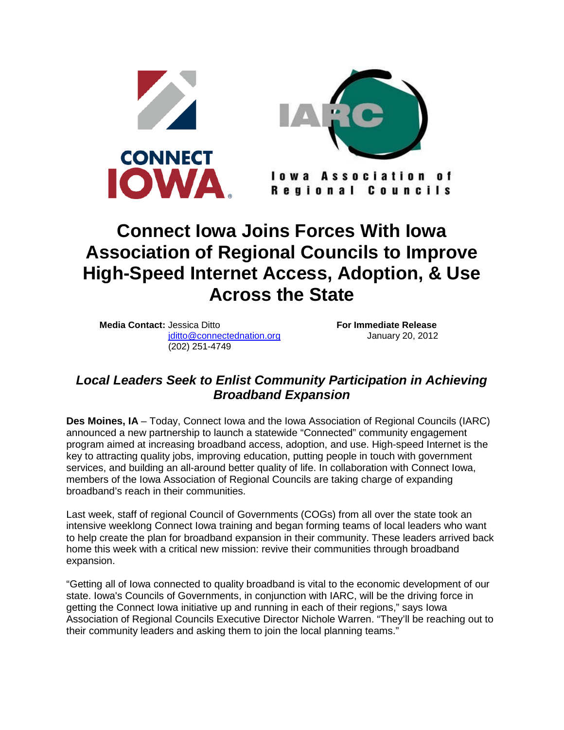

## **Connect Iowa Joins Forces With Iowa Association of Regional Councils to Improve High-Speed Internet Access, Adoption, & Use Across the State**

**Media Contact:** Jessica Ditto **For Immediate Release** [jditto@connectednation.org](mailto:jditto@connectednation.org) January 20, 2012 (202) 251-4749

## *Local Leaders Seek to Enlist Community Participation in Achieving Broadband Expansion*

**Des Moines, IA** – Today, Connect Iowa and the Iowa Association of Regional Councils (IARC) announced a new partnership to launch a statewide "Connected" community engagement program aimed at increasing broadband access, adoption, and use. High-speed Internet is the key to attracting quality jobs, improving education, putting people in touch with government services, and building an all-around better quality of life. In collaboration with Connect Iowa, members of the Iowa Association of Regional Councils are taking charge of expanding broadband's reach in their communities.

Last week, staff of regional Council of Governments (COGs) from all over the state took an intensive weeklong Connect Iowa training and began forming teams of local leaders who want to help create the plan for broadband expansion in their community. These leaders arrived back home this week with a critical new mission: revive their communities through broadband expansion.

"Getting all of Iowa connected to quality broadband is vital to the economic development of our state. Iowa's Councils of Governments, in conjunction with IARC, will be the driving force in getting the Connect Iowa initiative up and running in each of their regions," says Iowa Association of Regional Councils Executive Director Nichole Warren. "They'll be reaching out to their community leaders and asking them to join the local planning teams."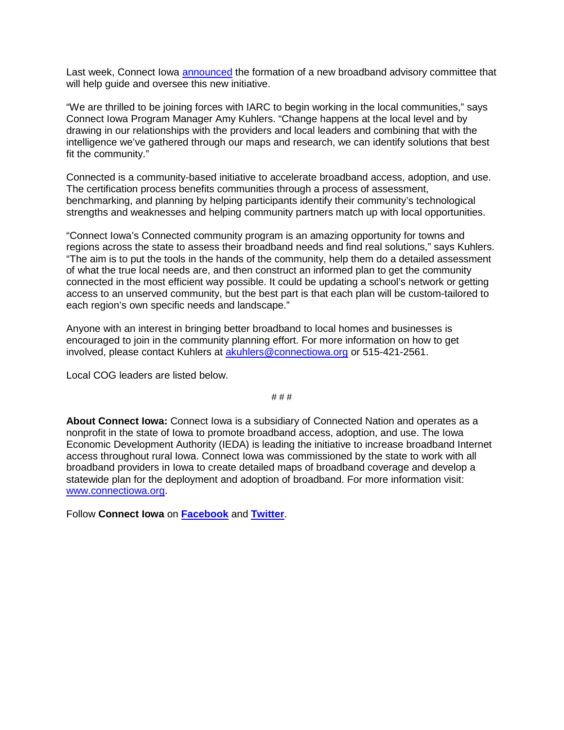Last week, Connect Iowa [announced](http://www.connectiowa.org/recent-news/connect-iowa-iowa-economic-development-authority-launch-new-advisory-committee-broadband) the formation of a new broadband advisory committee that will help quide and oversee this new initiative.

"We are thrilled to be joining forces with IARC to begin working in the local communities," says Connect Iowa Program Manager Amy Kuhlers. "Change happens at the local level and by drawing in our relationships with the providers and local leaders and combining that with the intelligence we've gathered through our maps and research, we can identify solutions that best fit the community."

Connected is a community-based initiative to accelerate broadband access, adoption, and use. The certification process benefits communities through a process of assessment, benchmarking, and planning by helping participants identify their community's technological strengths and weaknesses and helping community partners match up with local opportunities.

"Connect Iowa's Connected community program is an amazing opportunity for towns and regions across the state to assess their broadband needs and find real solutions," says Kuhlers. "The aim is to put the tools in the hands of the community, help them do a detailed assessment of what the true local needs are, and then construct an informed plan to get the community connected in the most efficient way possible. It could be updating a school's network or getting access to an unserved community, but the best part is that each plan will be custom-tailored to each region's own specific needs and landscape."

Anyone with an interest in bringing better broadband to local homes and businesses is encouraged to join in the community planning effort. For more information on how to get involved, please contact Kuhlers at [akuhlers@connectiowa.org](mailto:akuhlers@connectiowa.org) or 515-421-2561.

Local COG leaders are listed below.

# # #

**About Connect Iowa:** Connect Iowa is a subsidiary of Connected Nation and operates as a nonprofit in the state of Iowa to promote broadband access, adoption, and use. The Iowa Economic Development Authority (IEDA) is leading the initiative to increase broadband Internet access throughout rural Iowa. Connect Iowa was commissioned by the state to work with all broadband providers in Iowa to create detailed maps of broadband coverage and develop a statewide plan for the deployment and adoption of broadband. For more information visit: [www.connectiowa.org](http://www.connectiowa.org/).

Follow **Connect Iowa** on **[Facebook](http://www.facebook.com/pages/Connect-Iowa/170934096275409)** and **[Twitter](https://twitter.com/#!/connectiowa)**.